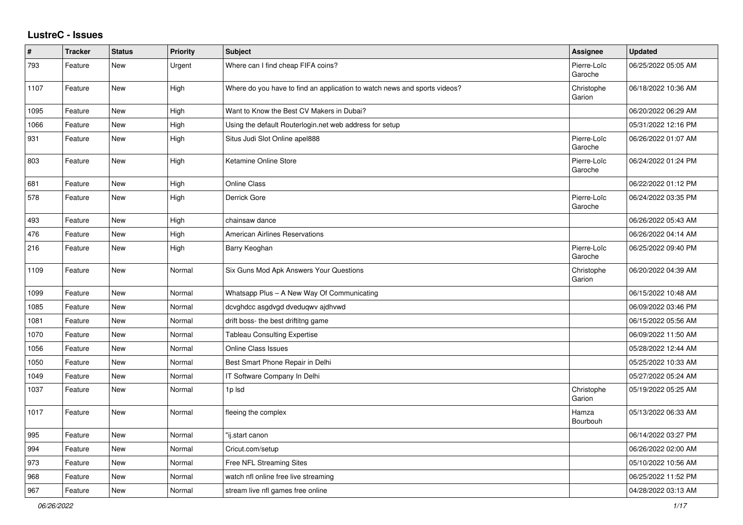## **LustreC - Issues**

| $\vert$ # | <b>Tracker</b> | <b>Status</b> | Priority | Subject                                                                   | Assignee               | <b>Updated</b>      |
|-----------|----------------|---------------|----------|---------------------------------------------------------------------------|------------------------|---------------------|
| 793       | Feature        | New           | Urgent   | Where can I find cheap FIFA coins?                                        | Pierre-Loïc<br>Garoche | 06/25/2022 05:05 AM |
| 1107      | Feature        | <b>New</b>    | High     | Where do you have to find an application to watch news and sports videos? | Christophe<br>Garion   | 06/18/2022 10:36 AM |
| 1095      | Feature        | <b>New</b>    | High     | Want to Know the Best CV Makers in Dubai?                                 |                        | 06/20/2022 06:29 AM |
| 1066      | Feature        | <b>New</b>    | High     | Using the default Routerlogin.net web address for setup                   |                        | 05/31/2022 12:16 PM |
| 931       | Feature        | New           | High     | Situs Judi Slot Online apel888                                            | Pierre-Loïc<br>Garoche | 06/26/2022 01:07 AM |
| 803       | Feature        | <b>New</b>    | High     | Ketamine Online Store                                                     | Pierre-Loïc<br>Garoche | 06/24/2022 01:24 PM |
| 681       | Feature        | New           | High     | <b>Online Class</b>                                                       |                        | 06/22/2022 01:12 PM |
| 578       | Feature        | New           | High     | Derrick Gore                                                              | Pierre-Loïc<br>Garoche | 06/24/2022 03:35 PM |
| 493       | Feature        | New           | High     | chainsaw dance                                                            |                        | 06/26/2022 05:43 AM |
| 476       | Feature        | New           | High     | American Airlines Reservations                                            |                        | 06/26/2022 04:14 AM |
| 216       | Feature        | New           | High     | Barry Keoghan                                                             | Pierre-Loïc<br>Garoche | 06/25/2022 09:40 PM |
| 1109      | Feature        | New           | Normal   | Six Guns Mod Apk Answers Your Questions                                   | Christophe<br>Garion   | 06/20/2022 04:39 AM |
| 1099      | Feature        | <b>New</b>    | Normal   | Whatsapp Plus - A New Way Of Communicating                                |                        | 06/15/2022 10:48 AM |
| 1085      | Feature        | <b>New</b>    | Normal   | dcvghdcc asgdvgd dveduqwv ajdhvwd                                         |                        | 06/09/2022 03:46 PM |
| 1081      | Feature        | <b>New</b>    | Normal   | drift boss- the best driftitng game                                       |                        | 06/15/2022 05:56 AM |
| 1070      | Feature        | <b>New</b>    | Normal   | <b>Tableau Consulting Expertise</b>                                       |                        | 06/09/2022 11:50 AM |
| 1056      | Feature        | <b>New</b>    | Normal   | <b>Online Class Issues</b>                                                |                        | 05/28/2022 12:44 AM |
| 1050      | Feature        | New           | Normal   | Best Smart Phone Repair in Delhi                                          |                        | 05/25/2022 10:33 AM |
| 1049      | Feature        | <b>New</b>    | Normal   | IT Software Company In Delhi                                              |                        | 05/27/2022 05:24 AM |
| 1037      | Feature        | <b>New</b>    | Normal   | 1p Isd                                                                    | Christophe<br>Garion   | 05/19/2022 05:25 AM |
| 1017      | Feature        | <b>New</b>    | Normal   | fleeing the complex                                                       | Hamza<br>Bourbouh      | 05/13/2022 06:33 AM |
| 995       | Feature        | <b>New</b>    | Normal   | "ij.start canon                                                           |                        | 06/14/2022 03:27 PM |
| 994       | Feature        | <b>New</b>    | Normal   | Cricut.com/setup                                                          |                        | 06/26/2022 02:00 AM |
| 973       | Feature        | <b>New</b>    | Normal   | Free NFL Streaming Sites                                                  |                        | 05/10/2022 10:56 AM |
| 968       | Feature        | <b>New</b>    | Normal   | watch nfl online free live streaming                                      |                        | 06/25/2022 11:52 PM |
| 967       | Feature        | <b>New</b>    | Normal   | stream live nfl games free online                                         |                        | 04/28/2022 03:13 AM |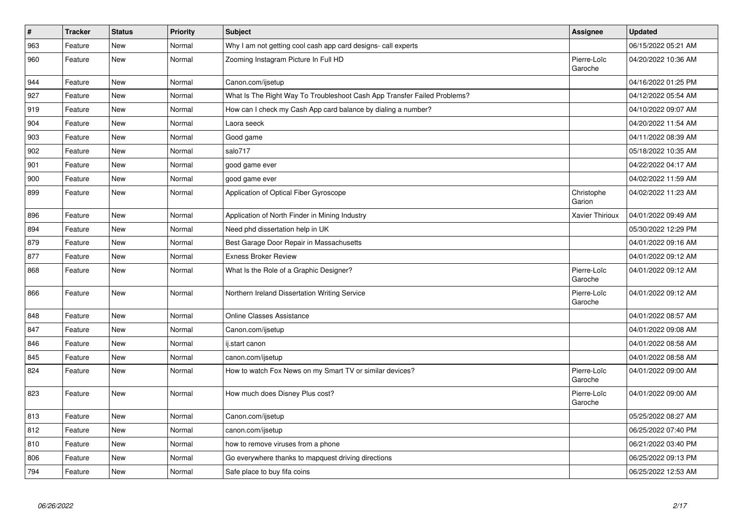| $\vert$ # | <b>Tracker</b> | <b>Status</b> | <b>Priority</b> | <b>Subject</b>                                                           | Assignee               | <b>Updated</b>      |
|-----------|----------------|---------------|-----------------|--------------------------------------------------------------------------|------------------------|---------------------|
| 963       | Feature        | <b>New</b>    | Normal          | Why I am not getting cool cash app card designs- call experts            |                        | 06/15/2022 05:21 AM |
| 960       | Feature        | <b>New</b>    | Normal          | Zooming Instagram Picture In Full HD                                     | Pierre-Loïc<br>Garoche | 04/20/2022 10:36 AM |
| 944       | Feature        | New           | Normal          | Canon.com/ijsetup                                                        |                        | 04/16/2022 01:25 PM |
| 927       | Feature        | <b>New</b>    | Normal          | What Is The Right Way To Troubleshoot Cash App Transfer Failed Problems? |                        | 04/12/2022 05:54 AM |
| 919       | Feature        | <b>New</b>    | Normal          | How can I check my Cash App card balance by dialing a number?            |                        | 04/10/2022 09:07 AM |
| 904       | Feature        | <b>New</b>    | Normal          | Laora seeck                                                              |                        | 04/20/2022 11:54 AM |
| 903       | Feature        | <b>New</b>    | Normal          | Good game                                                                |                        | 04/11/2022 08:39 AM |
| 902       | Feature        | <b>New</b>    | Normal          | salo717                                                                  |                        | 05/18/2022 10:35 AM |
| 901       | Feature        | New           | Normal          | good game ever                                                           |                        | 04/22/2022 04:17 AM |
| 900       | Feature        | <b>New</b>    | Normal          | good game ever                                                           |                        | 04/02/2022 11:59 AM |
| 899       | Feature        | <b>New</b>    | Normal          | Application of Optical Fiber Gyroscope                                   | Christophe<br>Garion   | 04/02/2022 11:23 AM |
| 896       | Feature        | <b>New</b>    | Normal          | Application of North Finder in Mining Industry                           | Xavier Thirioux        | 04/01/2022 09:49 AM |
| 894       | Feature        | <b>New</b>    | Normal          | Need phd dissertation help in UK                                         |                        | 05/30/2022 12:29 PM |
| 879       | Feature        | New           | Normal          | Best Garage Door Repair in Massachusetts                                 |                        | 04/01/2022 09:16 AM |
| 877       | Feature        | New           | Normal          | <b>Exness Broker Review</b>                                              |                        | 04/01/2022 09:12 AM |
| 868       | Feature        | <b>New</b>    | Normal          | What Is the Role of a Graphic Designer?                                  | Pierre-Loïc<br>Garoche | 04/01/2022 09:12 AM |
| 866       | Feature        | New           | Normal          | Northern Ireland Dissertation Writing Service                            | Pierre-Loïc<br>Garoche | 04/01/2022 09:12 AM |
| 848       | Feature        | <b>New</b>    | Normal          | <b>Online Classes Assistance</b>                                         |                        | 04/01/2022 08:57 AM |
| 847       | Feature        | New           | Normal          | Canon.com/ijsetup                                                        |                        | 04/01/2022 09:08 AM |
| 846       | Feature        | <b>New</b>    | Normal          | ij.start canon                                                           |                        | 04/01/2022 08:58 AM |
| 845       | Feature        | <b>New</b>    | Normal          | canon.com/ijsetup                                                        |                        | 04/01/2022 08:58 AM |
| 824       | Feature        | New           | Normal          | How to watch Fox News on my Smart TV or similar devices?                 | Pierre-Loïc<br>Garoche | 04/01/2022 09:00 AM |
| 823       | Feature        | <b>New</b>    | Normal          | How much does Disney Plus cost?                                          | Pierre-Loïc<br>Garoche | 04/01/2022 09:00 AM |
| 813       | Feature        | New           | Normal          | Canon.com/ijsetup                                                        |                        | 05/25/2022 08:27 AM |
| 812       | Feature        | New           | Normal          | canon.com/ijsetup                                                        |                        | 06/25/2022 07:40 PM |
| 810       | Feature        | New           | Normal          | how to remove viruses from a phone                                       |                        | 06/21/2022 03:40 PM |
| 806       | Feature        | New           | Normal          | Go everywhere thanks to mapquest driving directions                      |                        | 06/25/2022 09:13 PM |
| 794       | Feature        | <b>New</b>    | Normal          | Safe place to buy fifa coins                                             |                        | 06/25/2022 12:53 AM |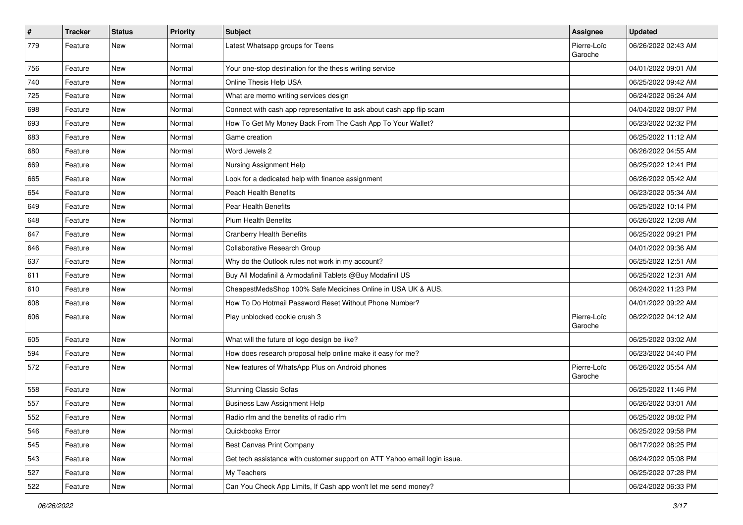| $\sharp$ | <b>Tracker</b> | <b>Status</b> | <b>Priority</b> | Subject                                                                   | Assignee               | <b>Updated</b>      |
|----------|----------------|---------------|-----------------|---------------------------------------------------------------------------|------------------------|---------------------|
| 779      | Feature        | New           | Normal          | Latest Whatsapp groups for Teens                                          | Pierre-Loïc<br>Garoche | 06/26/2022 02:43 AM |
| 756      | Feature        | New           | Normal          | Your one-stop destination for the thesis writing service                  |                        | 04/01/2022 09:01 AM |
| 740      | Feature        | <b>New</b>    | Normal          | Online Thesis Help USA                                                    |                        | 06/25/2022 09:42 AM |
| 725      | Feature        | <b>New</b>    | Normal          | What are memo writing services design                                     |                        | 06/24/2022 06:24 AM |
| 698      | Feature        | <b>New</b>    | Normal          | Connect with cash app representative to ask about cash app flip scam      |                        | 04/04/2022 08:07 PM |
| 693      | Feature        | <b>New</b>    | Normal          | How To Get My Money Back From The Cash App To Your Wallet?                |                        | 06/23/2022 02:32 PM |
| 683      | Feature        | New           | Normal          | Game creation                                                             |                        | 06/25/2022 11:12 AM |
| 680      | Feature        | New           | Normal          | Word Jewels 2                                                             |                        | 06/26/2022 04:55 AM |
| 669      | Feature        | <b>New</b>    | Normal          | Nursing Assignment Help                                                   |                        | 06/25/2022 12:41 PM |
| 665      | Feature        | New           | Normal          | Look for a dedicated help with finance assignment                         |                        | 06/26/2022 05:42 AM |
| 654      | Feature        | New           | Normal          | <b>Peach Health Benefits</b>                                              |                        | 06/23/2022 05:34 AM |
| 649      | Feature        | <b>New</b>    | Normal          | Pear Health Benefits                                                      |                        | 06/25/2022 10:14 PM |
| 648      | Feature        | New           | Normal          | <b>Plum Health Benefits</b>                                               |                        | 06/26/2022 12:08 AM |
| 647      | Feature        | <b>New</b>    | Normal          | <b>Cranberry Health Benefits</b>                                          |                        | 06/25/2022 09:21 PM |
| 646      | Feature        | New           | Normal          | Collaborative Research Group                                              |                        | 04/01/2022 09:36 AM |
| 637      | Feature        | New           | Normal          | Why do the Outlook rules not work in my account?                          |                        | 06/25/2022 12:51 AM |
| 611      | Feature        | <b>New</b>    | Normal          | Buy All Modafinil & Armodafinil Tablets @Buy Modafinil US                 |                        | 06/25/2022 12:31 AM |
| 610      | Feature        | <b>New</b>    | Normal          | CheapestMedsShop 100% Safe Medicines Online in USA UK & AUS.              |                        | 06/24/2022 11:23 PM |
| 608      | Feature        | <b>New</b>    | Normal          | How To Do Hotmail Password Reset Without Phone Number?                    |                        | 04/01/2022 09:22 AM |
| 606      | Feature        | New           | Normal          | Play unblocked cookie crush 3                                             | Pierre-Loïc<br>Garoche | 06/22/2022 04:12 AM |
| 605      | Feature        | <b>New</b>    | Normal          | What will the future of logo design be like?                              |                        | 06/25/2022 03:02 AM |
| 594      | Feature        | New           | Normal          | How does research proposal help online make it easy for me?               |                        | 06/23/2022 04:40 PM |
| 572      | Feature        | New           | Normal          | New features of WhatsApp Plus on Android phones                           | Pierre-Loïc<br>Garoche | 06/26/2022 05:54 AM |
| 558      | Feature        | <b>New</b>    | Normal          | <b>Stunning Classic Sofas</b>                                             |                        | 06/25/2022 11:46 PM |
| 557      | Feature        | <b>New</b>    | Normal          | <b>Business Law Assignment Help</b>                                       |                        | 06/26/2022 03:01 AM |
| 552      | Feature        | New           | Normal          | Radio rfm and the benefits of radio rfm                                   |                        | 06/25/2022 08:02 PM |
| 546      | Feature        | <b>New</b>    | Normal          | Quickbooks Error                                                          |                        | 06/25/2022 09:58 PM |
| 545      | Feature        | New           | Normal          | <b>Best Canvas Print Company</b>                                          |                        | 06/17/2022 08:25 PM |
| 543      | Feature        | New           | Normal          | Get tech assistance with customer support on ATT Yahoo email login issue. |                        | 06/24/2022 05:08 PM |
| 527      | Feature        | New           | Normal          | My Teachers                                                               |                        | 06/25/2022 07:28 PM |
| 522      | Feature        | New           | Normal          | Can You Check App Limits, If Cash app won't let me send money?            |                        | 06/24/2022 06:33 PM |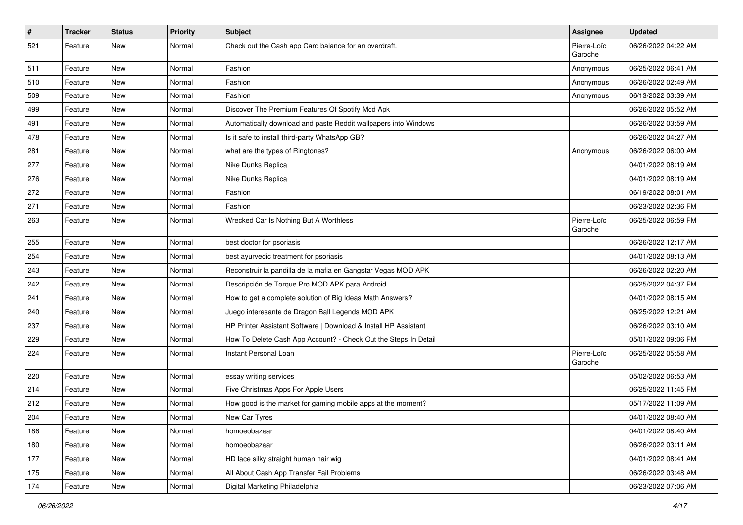| $\sharp$ | <b>Tracker</b> | <b>Status</b> | <b>Priority</b> | Subject                                                         | Assignee               | <b>Updated</b>      |
|----------|----------------|---------------|-----------------|-----------------------------------------------------------------|------------------------|---------------------|
| 521      | Feature        | New           | Normal          | Check out the Cash app Card balance for an overdraft.           | Pierre-Loïc<br>Garoche | 06/26/2022 04:22 AM |
| 511      | Feature        | New           | Normal          | Fashion                                                         | Anonymous              | 06/25/2022 06:41 AM |
| 510      | Feature        | New           | Normal          | Fashion                                                         | Anonymous              | 06/26/2022 02:49 AM |
| 509      | Feature        | <b>New</b>    | Normal          | Fashion                                                         | Anonymous              | 06/13/2022 03:39 AM |
| 499      | Feature        | New           | Normal          | Discover The Premium Features Of Spotify Mod Apk                |                        | 06/26/2022 05:52 AM |
| 491      | Feature        | New           | Normal          | Automatically download and paste Reddit wallpapers into Windows |                        | 06/26/2022 03:59 AM |
| 478      | Feature        | New           | Normal          | Is it safe to install third-party WhatsApp GB?                  |                        | 06/26/2022 04:27 AM |
| 281      | Feature        | <b>New</b>    | Normal          | what are the types of Ringtones?                                | Anonymous              | 06/26/2022 06:00 AM |
| 277      | Feature        | <b>New</b>    | Normal          | Nike Dunks Replica                                              |                        | 04/01/2022 08:19 AM |
| 276      | Feature        | New           | Normal          | Nike Dunks Replica                                              |                        | 04/01/2022 08:19 AM |
| 272      | Feature        | New           | Normal          | Fashion                                                         |                        | 06/19/2022 08:01 AM |
| 271      | Feature        | New           | Normal          | Fashion                                                         |                        | 06/23/2022 02:36 PM |
| 263      | Feature        | New           | Normal          | Wrecked Car Is Nothing But A Worthless                          | Pierre-Loïc<br>Garoche | 06/25/2022 06:59 PM |
| 255      | Feature        | <b>New</b>    | Normal          | best doctor for psoriasis                                       |                        | 06/26/2022 12:17 AM |
| 254      | Feature        | <b>New</b>    | Normal          | best ayurvedic treatment for psoriasis                          |                        | 04/01/2022 08:13 AM |
| 243      | Feature        | <b>New</b>    | Normal          | Reconstruir la pandilla de la mafia en Gangstar Vegas MOD APK   |                        | 06/26/2022 02:20 AM |
| 242      | Feature        | New           | Normal          | Descripción de Torque Pro MOD APK para Android                  |                        | 06/25/2022 04:37 PM |
| 241      | Feature        | New           | Normal          | How to get a complete solution of Big Ideas Math Answers?       |                        | 04/01/2022 08:15 AM |
| 240      | Feature        | New           | Normal          | Juego interesante de Dragon Ball Legends MOD APK                |                        | 06/25/2022 12:21 AM |
| 237      | Feature        | New           | Normal          | HP Printer Assistant Software   Download & Install HP Assistant |                        | 06/26/2022 03:10 AM |
| 229      | Feature        | <b>New</b>    | Normal          | How To Delete Cash App Account? - Check Out the Steps In Detail |                        | 05/01/2022 09:06 PM |
| 224      | Feature        | New           | Normal          | Instant Personal Loan                                           | Pierre-Loïc<br>Garoche | 06/25/2022 05:58 AM |
| 220      | Feature        | <b>New</b>    | Normal          | essay writing services                                          |                        | 05/02/2022 06:53 AM |
| 214      | Feature        | New           | Normal          | Five Christmas Apps For Apple Users                             |                        | 06/25/2022 11:45 PM |
| 212      | Feature        | New           | Normal          | How good is the market for gaming mobile apps at the moment?    |                        | 05/17/2022 11:09 AM |
| 204      | Feature        | New           | Normal          | New Car Tyres                                                   |                        | 04/01/2022 08:40 AM |
| 186      | Feature        | <b>New</b>    | Normal          | homoeobazaar                                                    |                        | 04/01/2022 08:40 AM |
| 180      | Feature        | New           | Normal          | homoeobazaar                                                    |                        | 06/26/2022 03:11 AM |
| 177      | Feature        | New           | Normal          | HD lace silky straight human hair wig                           |                        | 04/01/2022 08:41 AM |
| 175      | Feature        | New           | Normal          | All About Cash App Transfer Fail Problems                       |                        | 06/26/2022 03:48 AM |
| 174      | Feature        | New           | Normal          | Digital Marketing Philadelphia                                  |                        | 06/23/2022 07:06 AM |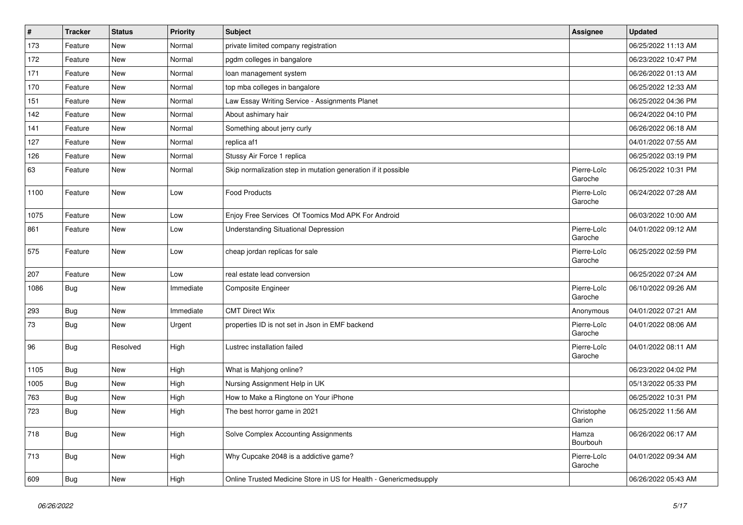| $\vert$ # | <b>Tracker</b> | <b>Status</b> | <b>Priority</b> | <b>Subject</b>                                                    | Assignee               | <b>Updated</b>      |
|-----------|----------------|---------------|-----------------|-------------------------------------------------------------------|------------------------|---------------------|
| 173       | Feature        | <b>New</b>    | Normal          | private limited company registration                              |                        | 06/25/2022 11:13 AM |
| 172       | Feature        | <b>New</b>    | Normal          | pgdm colleges in bangalore                                        |                        | 06/23/2022 10:47 PM |
| 171       | Feature        | New           | Normal          | loan management system                                            |                        | 06/26/2022 01:13 AM |
| 170       | Feature        | <b>New</b>    | Normal          | top mba colleges in bangalore                                     |                        | 06/25/2022 12:33 AM |
| 151       | Feature        | New           | Normal          | Law Essay Writing Service - Assignments Planet                    |                        | 06/25/2022 04:36 PM |
| 142       | Feature        | New           | Normal          | About ashimary hair                                               |                        | 06/24/2022 04:10 PM |
| 141       | Feature        | <b>New</b>    | Normal          | Something about jerry curly                                       |                        | 06/26/2022 06:18 AM |
| 127       | Feature        | New           | Normal          | replica af1                                                       |                        | 04/01/2022 07:55 AM |
| 126       | Feature        | <b>New</b>    | Normal          | Stussy Air Force 1 replica                                        |                        | 06/25/2022 03:19 PM |
| 63        | Feature        | New           | Normal          | Skip normalization step in mutation generation if it possible     | Pierre-Loïc<br>Garoche | 06/25/2022 10:31 PM |
| 1100      | Feature        | <b>New</b>    | Low             | <b>Food Products</b>                                              | Pierre-Loïc<br>Garoche | 06/24/2022 07:28 AM |
| 1075      | Feature        | <b>New</b>    | Low             | Enjoy Free Services Of Toomics Mod APK For Android                |                        | 06/03/2022 10:00 AM |
| 861       | Feature        | <b>New</b>    | Low             | <b>Understanding Situational Depression</b>                       | Pierre-Loïc<br>Garoche | 04/01/2022 09:12 AM |
| 575       | Feature        | <b>New</b>    | Low             | cheap jordan replicas for sale                                    | Pierre-Loïc<br>Garoche | 06/25/2022 02:59 PM |
| 207       | Feature        | New           | Low             | real estate lead conversion                                       |                        | 06/25/2022 07:24 AM |
| 1086      | Bug            | <b>New</b>    | Immediate       | <b>Composite Engineer</b>                                         | Pierre-Loïc<br>Garoche | 06/10/2022 09:26 AM |
| 293       | Bug            | <b>New</b>    | Immediate       | <b>CMT Direct Wix</b>                                             | Anonymous              | 04/01/2022 07:21 AM |
| 73        | Bug            | <b>New</b>    | Urgent          | properties ID is not set in Json in EMF backend                   | Pierre-Loïc<br>Garoche | 04/01/2022 08:06 AM |
| 96        | Bug            | Resolved      | High            | Lustrec installation failed                                       | Pierre-Loïc<br>Garoche | 04/01/2022 08:11 AM |
| 1105      | Bug            | New           | High            | What is Mahjong online?                                           |                        | 06/23/2022 04:02 PM |
| 1005      | Bug            | <b>New</b>    | High            | Nursing Assignment Help in UK                                     |                        | 05/13/2022 05:33 PM |
| 763       | Bug            | <b>New</b>    | High            | How to Make a Ringtone on Your iPhone                             |                        | 06/25/2022 10:31 PM |
| 723       | <b>Bug</b>     | <b>New</b>    | High            | The best horror game in 2021                                      | Christophe<br>Garion   | 06/25/2022 11:56 AM |
| 718       | <b>Bug</b>     | New           | High            | Solve Complex Accounting Assignments                              | Hamza<br>Bourbouh      | 06/26/2022 06:17 AM |
| 713       | <b>Bug</b>     | New           | High            | Why Cupcake 2048 is a addictive game?                             | Pierre-Loïc<br>Garoche | 04/01/2022 09:34 AM |
| 609       | Bug            | New           | High            | Online Trusted Medicine Store in US for Health - Genericmedsupply |                        | 06/26/2022 05:43 AM |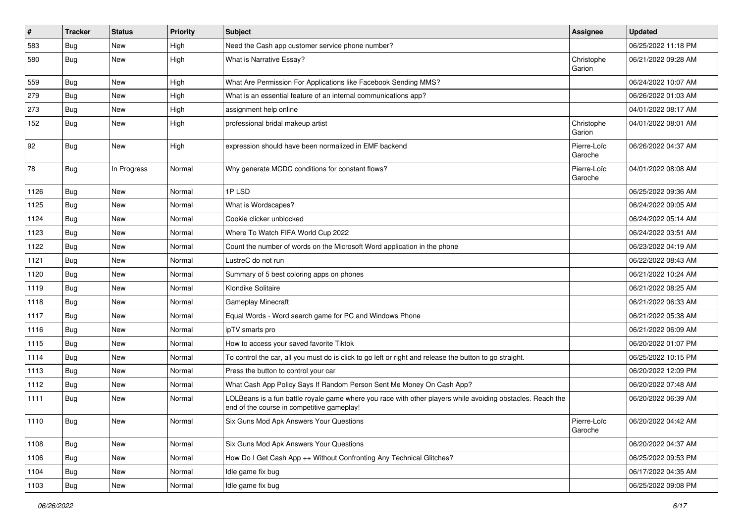| $\sharp$ | <b>Tracker</b> | <b>Status</b> | <b>Priority</b> | <b>Subject</b>                                                                                                                                           | <b>Assignee</b>        | <b>Updated</b>      |
|----------|----------------|---------------|-----------------|----------------------------------------------------------------------------------------------------------------------------------------------------------|------------------------|---------------------|
| 583      | Bug            | New           | High            | Need the Cash app customer service phone number?                                                                                                         |                        | 06/25/2022 11:18 PM |
| 580      | <b>Bug</b>     | <b>New</b>    | High            | What is Narrative Essay?                                                                                                                                 | Christophe<br>Garion   | 06/21/2022 09:28 AM |
| 559      | <b>Bug</b>     | <b>New</b>    | High            | What Are Permission For Applications like Facebook Sending MMS?                                                                                          |                        | 06/24/2022 10:07 AM |
| 279      | Bug            | <b>New</b>    | High            | What is an essential feature of an internal communications app?                                                                                          |                        | 06/26/2022 01:03 AM |
| 273      | <b>Bug</b>     | New           | High            | assignment help online                                                                                                                                   |                        | 04/01/2022 08:17 AM |
| 152      | <b>Bug</b>     | New           | High            | professional bridal makeup artist                                                                                                                        | Christophe<br>Garion   | 04/01/2022 08:01 AM |
| 92       | Bug            | New           | High            | expression should have been normalized in EMF backend                                                                                                    | Pierre-Loïc<br>Garoche | 06/26/2022 04:37 AM |
| 78       | Bug            | In Progress   | Normal          | Why generate MCDC conditions for constant flows?                                                                                                         | Pierre-Loïc<br>Garoche | 04/01/2022 08:08 AM |
| 1126     | Bug            | New           | Normal          | 1PLSD                                                                                                                                                    |                        | 06/25/2022 09:36 AM |
| 1125     | Bug            | New           | Normal          | What is Wordscapes?                                                                                                                                      |                        | 06/24/2022 09:05 AM |
| 1124     | Bug            | New           | Normal          | Cookie clicker unblocked                                                                                                                                 |                        | 06/24/2022 05:14 AM |
| 1123     | Bug            | <b>New</b>    | Normal          | Where To Watch FIFA World Cup 2022                                                                                                                       |                        | 06/24/2022 03:51 AM |
| 1122     | Bug            | New           | Normal          | Count the number of words on the Microsoft Word application in the phone                                                                                 |                        | 06/23/2022 04:19 AM |
| 1121     | Bug            | <b>New</b>    | Normal          | LustreC do not run                                                                                                                                       |                        | 06/22/2022 08:43 AM |
| 1120     | Bug            | New           | Normal          | Summary of 5 best coloring apps on phones                                                                                                                |                        | 06/21/2022 10:24 AM |
| 1119     | Bug            | <b>New</b>    | Normal          | Klondike Solitaire                                                                                                                                       |                        | 06/21/2022 08:25 AM |
| 1118     | Bug            | New           | Normal          | <b>Gameplay Minecraft</b>                                                                                                                                |                        | 06/21/2022 06:33 AM |
| 1117     | Bug            | New           | Normal          | Equal Words - Word search game for PC and Windows Phone                                                                                                  |                        | 06/21/2022 05:38 AM |
| 1116     | Bug            | New           | Normal          | ipTV smarts pro                                                                                                                                          |                        | 06/21/2022 06:09 AM |
| 1115     | Bug            | New           | Normal          | How to access your saved favorite Tiktok                                                                                                                 |                        | 06/20/2022 01:07 PM |
| 1114     | Bug            | New           | Normal          | To control the car, all you must do is click to go left or right and release the button to go straight.                                                  |                        | 06/25/2022 10:15 PM |
| 1113     | Bug            | New           | Normal          | Press the button to control your car                                                                                                                     |                        | 06/20/2022 12:09 PM |
| 1112     | <b>Bug</b>     | New           | Normal          | What Cash App Policy Says If Random Person Sent Me Money On Cash App?                                                                                    |                        | 06/20/2022 07:48 AM |
| 1111     | Bug            | New           | Normal          | LOLBeans is a fun battle royale game where you race with other players while avoiding obstacles. Reach the<br>end of the course in competitive gameplay! |                        | 06/20/2022 06:39 AM |
| 1110     | Bug            | New           | Normal          | Six Guns Mod Apk Answers Your Questions                                                                                                                  | Pierre-Loïc<br>Garoche | 06/20/2022 04:42 AM |
| 1108     | Bug            | New           | Normal          | Six Guns Mod Apk Answers Your Questions                                                                                                                  |                        | 06/20/2022 04:37 AM |
| 1106     | <b>Bug</b>     | New           | Normal          | How Do I Get Cash App ++ Without Confronting Any Technical Glitches?                                                                                     |                        | 06/25/2022 09:53 PM |
| 1104     | <b>Bug</b>     | New           | Normal          | Idle game fix bug                                                                                                                                        |                        | 06/17/2022 04:35 AM |
| 1103     | Bug            | New           | Normal          | Idle game fix bug                                                                                                                                        |                        | 06/25/2022 09:08 PM |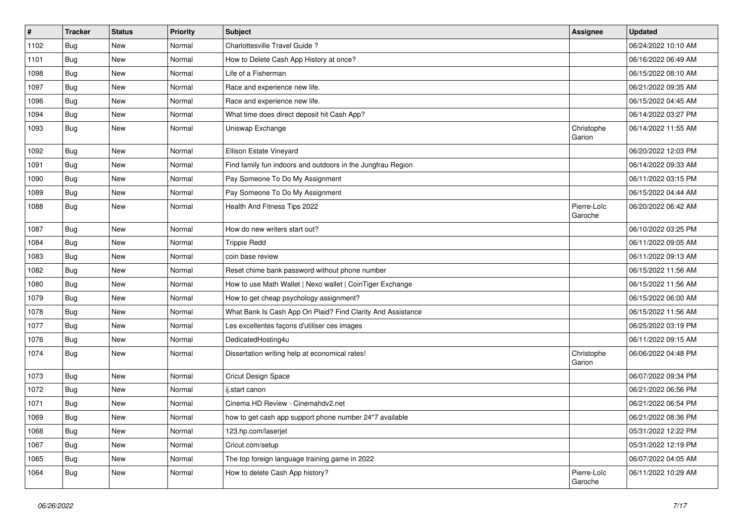| $\pmb{\#}$ | <b>Tracker</b> | <b>Status</b> | <b>Priority</b> | <b>Subject</b>                                              | Assignee               | <b>Updated</b>      |
|------------|----------------|---------------|-----------------|-------------------------------------------------------------|------------------------|---------------------|
| 1102       | Bug            | New           | Normal          | Charlottesville Travel Guide?                               |                        | 06/24/2022 10:10 AM |
| 1101       | Bug            | <b>New</b>    | Normal          | How to Delete Cash App History at once?                     |                        | 06/16/2022 06:49 AM |
| 1098       | Bug            | New           | Normal          | Life of a Fisherman                                         |                        | 06/15/2022 08:10 AM |
| 1097       | <b>Bug</b>     | New           | Normal          | Race and experience new life.                               |                        | 06/21/2022 09:35 AM |
| 1096       | Bug            | <b>New</b>    | Normal          | Race and experience new life.                               |                        | 06/15/2022 04:45 AM |
| 1094       | <b>Bug</b>     | New           | Normal          | What time does direct deposit hit Cash App?                 |                        | 06/14/2022 03:27 PM |
| 1093       | Bug            | New           | Normal          | Uniswap Exchange                                            | Christophe<br>Garion   | 06/14/2022 11:55 AM |
| 1092       | Bug            | <b>New</b>    | Normal          | Ellison Estate Vineyard                                     |                        | 06/20/2022 12:03 PM |
| 1091       | Bug            | New           | Normal          | Find family fun indoors and outdoors in the Jungfrau Region |                        | 06/14/2022 09:33 AM |
| 1090       | Bug            | New           | Normal          | Pay Someone To Do My Assignment                             |                        | 06/11/2022 03:15 PM |
| 1089       | Bug            | New           | Normal          | Pay Someone To Do My Assignment                             |                        | 06/15/2022 04:44 AM |
| 1088       | Bug            | <b>New</b>    | Normal          | Health And Fitness Tips 2022                                | Pierre-Loïc<br>Garoche | 06/20/2022 06:42 AM |
| 1087       | Bug            | <b>New</b>    | Normal          | How do new writers start out?                               |                        | 06/10/2022 03:25 PM |
| 1084       | Bug            | New           | Normal          | <b>Trippie Redd</b>                                         |                        | 06/11/2022 09:05 AM |
| 1083       | Bug            | New           | Normal          | coin base review                                            |                        | 06/11/2022 09:13 AM |
| 1082       | Bug            | <b>New</b>    | Normal          | Reset chime bank password without phone number              |                        | 06/15/2022 11:56 AM |
| 1080       | Bug            | New           | Normal          | How to use Math Wallet   Nexo wallet   CoinTiger Exchange   |                        | 06/15/2022 11:56 AM |
| 1079       | Bug            | <b>New</b>    | Normal          | How to get cheap psychology assignment?                     |                        | 06/15/2022 06:00 AM |
| 1078       | Bug            | <b>New</b>    | Normal          | What Bank Is Cash App On Plaid? Find Clarity And Assistance |                        | 06/15/2022 11:56 AM |
| 1077       | Bug            | New           | Normal          | Les excellentes façons d'utiliser ces images                |                        | 06/25/2022 03:19 PM |
| 1076       | Bug            | <b>New</b>    | Normal          | DedicatedHosting4u                                          |                        | 06/11/2022 09:15 AM |
| 1074       | Bug            | New           | Normal          | Dissertation writing help at economical rates!              | Christophe<br>Garion   | 06/06/2022 04:48 PM |
| 1073       | Bug            | <b>New</b>    | Normal          | <b>Cricut Design Space</b>                                  |                        | 06/07/2022 09:34 PM |
| 1072       | Bug            | New           | Normal          | ij.start canon                                              |                        | 06/21/2022 06:56 PM |
| 1071       | Bug            | New           | Normal          | Cinema HD Review - Cinemahdv2.net                           |                        | 06/21/2022 06:54 PM |
| 1069       | Bug            | New           | Normal          | how to get cash app support phone number 24*7 available     |                        | 06/21/2022 08:36 PM |
| 1068       | Bug            | New           | Normal          | 123.hp.com/laserjet                                         |                        | 05/31/2022 12:22 PM |
| 1067       | Bug            | New           | Normal          | Cricut.com/setup                                            |                        | 05/31/2022 12:19 PM |
| 1065       | Bug            | New           | Normal          | The top foreign language training game in 2022              |                        | 06/07/2022 04:05 AM |
| 1064       | Bug            | New           | Normal          | How to delete Cash App history?                             | Pierre-Loïc<br>Garoche | 06/11/2022 10:29 AM |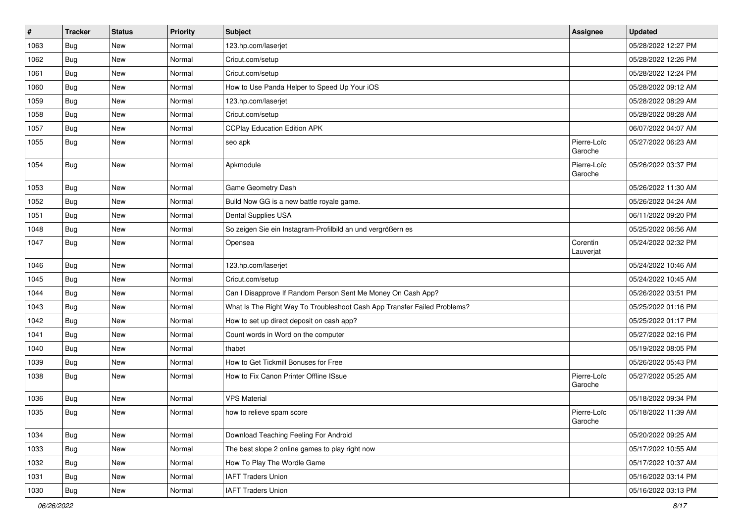| $\pmb{\sharp}$ | <b>Tracker</b> | <b>Status</b> | <b>Priority</b> | <b>Subject</b>                                                           | Assignee               | <b>Updated</b>      |
|----------------|----------------|---------------|-----------------|--------------------------------------------------------------------------|------------------------|---------------------|
| 1063           | Bug            | New           | Normal          | 123.hp.com/laserjet                                                      |                        | 05/28/2022 12:27 PM |
| 1062           | Bug            | <b>New</b>    | Normal          | Cricut.com/setup                                                         |                        | 05/28/2022 12:26 PM |
| 1061           | Bug            | New           | Normal          | Cricut.com/setup                                                         |                        | 05/28/2022 12:24 PM |
| 1060           | Bug            | New           | Normal          | How to Use Panda Helper to Speed Up Your iOS                             |                        | 05/28/2022 09:12 AM |
| 1059           | Bug            | <b>New</b>    | Normal          | 123.hp.com/laserjet                                                      |                        | 05/28/2022 08:29 AM |
| 1058           | Bug            | New           | Normal          | Cricut.com/setup                                                         |                        | 05/28/2022 08:28 AM |
| 1057           | Bug            | <b>New</b>    | Normal          | <b>CCPlay Education Edition APK</b>                                      |                        | 06/07/2022 04:07 AM |
| 1055           | Bug            | <b>New</b>    | Normal          | seo apk                                                                  | Pierre-Loïc<br>Garoche | 05/27/2022 06:23 AM |
| 1054           | Bug            | <b>New</b>    | Normal          | Apkmodule                                                                | Pierre-Loïc<br>Garoche | 05/26/2022 03:37 PM |
| 1053           | Bug            | <b>New</b>    | Normal          | Game Geometry Dash                                                       |                        | 05/26/2022 11:30 AM |
| 1052           | Bug            | <b>New</b>    | Normal          | Build Now GG is a new battle royale game.                                |                        | 05/26/2022 04:24 AM |
| 1051           | Bug            | New           | Normal          | <b>Dental Supplies USA</b>                                               |                        | 06/11/2022 09:20 PM |
| 1048           | Bug            | <b>New</b>    | Normal          | So zeigen Sie ein Instagram-Profilbild an und vergrößern es              |                        | 05/25/2022 06:56 AM |
| 1047           | Bug            | <b>New</b>    | Normal          | Opensea                                                                  | Corentin<br>Lauverjat  | 05/24/2022 02:32 PM |
| 1046           | Bug            | New           | Normal          | 123.hp.com/laserjet                                                      |                        | 05/24/2022 10:46 AM |
| 1045           | Bug            | New           | Normal          | Cricut.com/setup                                                         |                        | 05/24/2022 10:45 AM |
| 1044           | Bug            | New           | Normal          | Can I Disapprove If Random Person Sent Me Money On Cash App?             |                        | 05/26/2022 03:51 PM |
| 1043           | Bug            | <b>New</b>    | Normal          | What Is The Right Way To Troubleshoot Cash App Transfer Failed Problems? |                        | 05/25/2022 01:16 PM |
| 1042           | <b>Bug</b>     | New           | Normal          | How to set up direct deposit on cash app?                                |                        | 05/25/2022 01:17 PM |
| 1041           | Bug            | <b>New</b>    | Normal          | Count words in Word on the computer                                      |                        | 05/27/2022 02:16 PM |
| 1040           | <b>Bug</b>     | New           | Normal          | thabet                                                                   |                        | 05/19/2022 08:05 PM |
| 1039           | Bug            | <b>New</b>    | Normal          | How to Get Tickmill Bonuses for Free                                     |                        | 05/26/2022 05:43 PM |
| 1038           | Bug            | New           | Normal          | How to Fix Canon Printer Offline ISsue                                   | Pierre-Loïc<br>Garoche | 05/27/2022 05:25 AM |
| 1036           | Bug            | <b>New</b>    | Normal          | <b>VPS Material</b>                                                      |                        | 05/18/2022 09:34 PM |
| 1035           | Bug            | New           | Normal          | how to relieve spam score                                                | Pierre-Loïc<br>Garoche | 05/18/2022 11:39 AM |
| 1034           | Bug            | New           | Normal          | Download Teaching Feeling For Android                                    |                        | 05/20/2022 09:25 AM |
| 1033           | Bug            | New           | Normal          | The best slope 2 online games to play right now                          |                        | 05/17/2022 10:55 AM |
| 1032           | Bug            | New           | Normal          | How To Play The Wordle Game                                              |                        | 05/17/2022 10:37 AM |
| 1031           | Bug            | New           | Normal          | <b>IAFT Traders Union</b>                                                |                        | 05/16/2022 03:14 PM |
| 1030           | Bug            | New           | Normal          | <b>IAFT Traders Union</b>                                                |                        | 05/16/2022 03:13 PM |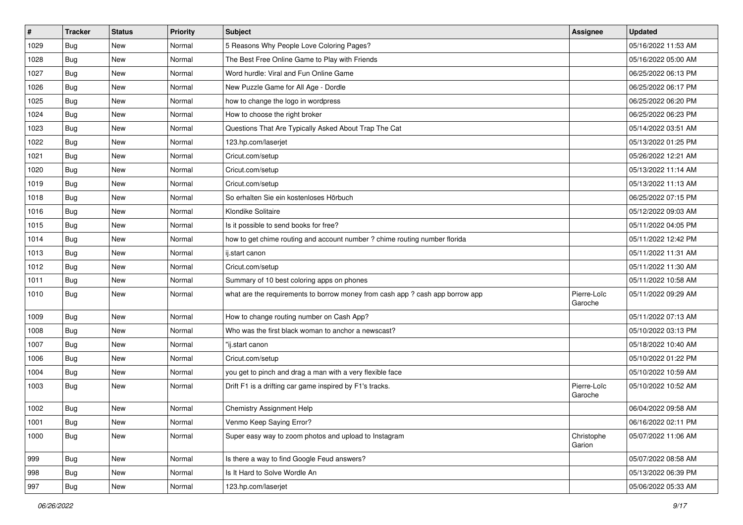| $\#$ | <b>Tracker</b> | <b>Status</b> | <b>Priority</b> | <b>Subject</b>                                                                | Assignee               | <b>Updated</b>      |
|------|----------------|---------------|-----------------|-------------------------------------------------------------------------------|------------------------|---------------------|
| 1029 | Bug            | New           | Normal          | 5 Reasons Why People Love Coloring Pages?                                     |                        | 05/16/2022 11:53 AM |
| 1028 | Bug            | <b>New</b>    | Normal          | The Best Free Online Game to Play with Friends                                |                        | 05/16/2022 05:00 AM |
| 1027 | Bug            | <b>New</b>    | Normal          | Word hurdle: Viral and Fun Online Game                                        |                        | 06/25/2022 06:13 PM |
| 1026 | Bug            | <b>New</b>    | Normal          | New Puzzle Game for All Age - Dordle                                          |                        | 06/25/2022 06:17 PM |
| 1025 | Bug            | <b>New</b>    | Normal          | how to change the logo in wordpress                                           |                        | 06/25/2022 06:20 PM |
| 1024 | Bug            | <b>New</b>    | Normal          | How to choose the right broker                                                |                        | 06/25/2022 06:23 PM |
| 1023 | Bug            | <b>New</b>    | Normal          | Questions That Are Typically Asked About Trap The Cat                         |                        | 05/14/2022 03:51 AM |
| 1022 | Bug            | New           | Normal          | 123.hp.com/laserjet                                                           |                        | 05/13/2022 01:25 PM |
| 1021 | Bug            | New           | Normal          | Cricut.com/setup                                                              |                        | 05/26/2022 12:21 AM |
| 1020 | Bug            | <b>New</b>    | Normal          | Cricut.com/setup                                                              |                        | 05/13/2022 11:14 AM |
| 1019 | Bug            | New           | Normal          | Cricut.com/setup                                                              |                        | 05/13/2022 11:13 AM |
| 1018 | Bug            | <b>New</b>    | Normal          | So erhalten Sie ein kostenloses Hörbuch                                       |                        | 06/25/2022 07:15 PM |
| 1016 | Bug            | New           | Normal          | Klondike Solitaire                                                            |                        | 05/12/2022 09:03 AM |
| 1015 | Bug            | New           | Normal          | Is it possible to send books for free?                                        |                        | 05/11/2022 04:05 PM |
| 1014 | Bug            | <b>New</b>    | Normal          | how to get chime routing and account number ? chime routing number florida    |                        | 05/11/2022 12:42 PM |
| 1013 | Bug            | New           | Normal          | ij.start canon                                                                |                        | 05/11/2022 11:31 AM |
| 1012 | Bug            | <b>New</b>    | Normal          | Cricut.com/setup                                                              |                        | 05/11/2022 11:30 AM |
| 1011 | Bug            | <b>New</b>    | Normal          | Summary of 10 best coloring apps on phones                                    |                        | 05/11/2022 10:58 AM |
| 1010 | Bug            | <b>New</b>    | Normal          | what are the requirements to borrow money from cash app ? cash app borrow app | Pierre-Loïc<br>Garoche | 05/11/2022 09:29 AM |
| 1009 | Bug            | <b>New</b>    | Normal          | How to change routing number on Cash App?                                     |                        | 05/11/2022 07:13 AM |
| 1008 | Bug            | <b>New</b>    | Normal          | Who was the first black woman to anchor a newscast?                           |                        | 05/10/2022 03:13 PM |
| 1007 | Bug            | <b>New</b>    | Normal          | "ij.start canon                                                               |                        | 05/18/2022 10:40 AM |
| 1006 | Bug            | New           | Normal          | Cricut.com/setup                                                              |                        | 05/10/2022 01:22 PM |
| 1004 | Bug            | <b>New</b>    | Normal          | you get to pinch and drag a man with a very flexible face                     |                        | 05/10/2022 10:59 AM |
| 1003 | <b>Bug</b>     | New           | Normal          | Drift F1 is a drifting car game inspired by F1's tracks.                      | Pierre-Loïc<br>Garoche | 05/10/2022 10:52 AM |
| 1002 | Bug            | <b>New</b>    | Normal          | <b>Chemistry Assignment Help</b>                                              |                        | 06/04/2022 09:58 AM |
| 1001 | <b>Bug</b>     | New           | Normal          | Venmo Keep Saying Error?                                                      |                        | 06/16/2022 02:11 PM |
| 1000 | Bug            | New           | Normal          | Super easy way to zoom photos and upload to Instagram                         | Christophe<br>Garion   | 05/07/2022 11:06 AM |
| 999  | <b>Bug</b>     | New           | Normal          | Is there a way to find Google Feud answers?                                   |                        | 05/07/2022 08:58 AM |
| 998  | Bug            | New           | Normal          | Is It Hard to Solve Wordle An                                                 |                        | 05/13/2022 06:39 PM |
| 997  | <b>Bug</b>     | New           | Normal          | 123.hp.com/laserjet                                                           |                        | 05/06/2022 05:33 AM |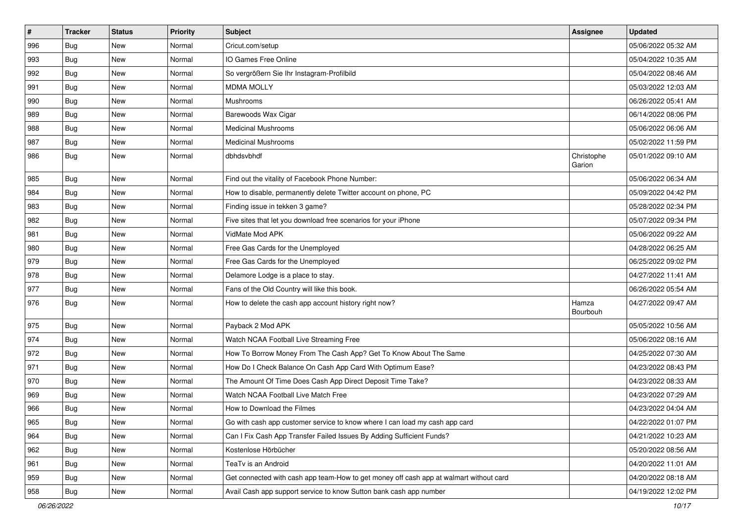| $\vert$ # | <b>Tracker</b> | <b>Status</b> | <b>Priority</b> | <b>Subject</b>                                                                         | Assignee             | <b>Updated</b>      |
|-----------|----------------|---------------|-----------------|----------------------------------------------------------------------------------------|----------------------|---------------------|
| 996       | Bug            | <b>New</b>    | Normal          | Cricut.com/setup                                                                       |                      | 05/06/2022 05:32 AM |
| 993       | Bug            | <b>New</b>    | Normal          | IO Games Free Online                                                                   |                      | 05/04/2022 10:35 AM |
| 992       | Bug            | New           | Normal          | So vergrößern Sie Ihr Instagram-Profilbild                                             |                      | 05/04/2022 08:46 AM |
| 991       | Bug            | <b>New</b>    | Normal          | <b>MDMA MOLLY</b>                                                                      |                      | 05/03/2022 12:03 AM |
| 990       | Bug            | New           | Normal          | Mushrooms                                                                              |                      | 06/26/2022 05:41 AM |
| 989       | Bug            | <b>New</b>    | Normal          | Barewoods Wax Cigar                                                                    |                      | 06/14/2022 08:06 PM |
| 988       | Bug            | <b>New</b>    | Normal          | <b>Medicinal Mushrooms</b>                                                             |                      | 05/06/2022 06:06 AM |
| 987       | Bug            | <b>New</b>    | Normal          | <b>Medicinal Mushrooms</b>                                                             |                      | 05/02/2022 11:59 PM |
| 986       | Bug            | <b>New</b>    | Normal          | dbhdsvbhdf                                                                             | Christophe<br>Garion | 05/01/2022 09:10 AM |
| 985       | Bug            | <b>New</b>    | Normal          | Find out the vitality of Facebook Phone Number:                                        |                      | 05/06/2022 06:34 AM |
| 984       | Bug            | <b>New</b>    | Normal          | How to disable, permanently delete Twitter account on phone, PC                        |                      | 05/09/2022 04:42 PM |
| 983       | Bug            | New           | Normal          | Finding issue in tekken 3 game?                                                        |                      | 05/28/2022 02:34 PM |
| 982       | Bug            | <b>New</b>    | Normal          | Five sites that let you download free scenarios for your iPhone                        |                      | 05/07/2022 09:34 PM |
| 981       | Bug            | <b>New</b>    | Normal          | VidMate Mod APK                                                                        |                      | 05/06/2022 09:22 AM |
| 980       | Bug            | <b>New</b>    | Normal          | Free Gas Cards for the Unemployed                                                      |                      | 04/28/2022 06:25 AM |
| 979       | Bug            | <b>New</b>    | Normal          | Free Gas Cards for the Unemployed                                                      |                      | 06/25/2022 09:02 PM |
| 978       | Bug            | <b>New</b>    | Normal          | Delamore Lodge is a place to stay.                                                     |                      | 04/27/2022 11:41 AM |
| 977       | <b>Bug</b>     | New           | Normal          | Fans of the Old Country will like this book.                                           |                      | 06/26/2022 05:54 AM |
| 976       | Bug            | <b>New</b>    | Normal          | How to delete the cash app account history right now?                                  | Hamza<br>Bourbouh    | 04/27/2022 09:47 AM |
| 975       | Bug            | <b>New</b>    | Normal          | Payback 2 Mod APK                                                                      |                      | 05/05/2022 10:56 AM |
| 974       | Bug            | <b>New</b>    | Normal          | Watch NCAA Football Live Streaming Free                                                |                      | 05/06/2022 08:16 AM |
| 972       | Bug            | <b>New</b>    | Normal          | How To Borrow Money From The Cash App? Get To Know About The Same                      |                      | 04/25/2022 07:30 AM |
| 971       | Bug            | <b>New</b>    | Normal          | How Do I Check Balance On Cash App Card With Optimum Ease?                             |                      | 04/23/2022 08:43 PM |
| 970       | Bug            | <b>New</b>    | Normal          | The Amount Of Time Does Cash App Direct Deposit Time Take?                             |                      | 04/23/2022 08:33 AM |
| 969       | Bug            | <b>New</b>    | Normal          | Watch NCAA Football Live Match Free                                                    |                      | 04/23/2022 07:29 AM |
| 966       | Bug            | <b>New</b>    | Normal          | How to Download the Filmes                                                             |                      | 04/23/2022 04:04 AM |
| 965       | Bug            | New           | Normal          | Go with cash app customer service to know where I can load my cash app card            |                      | 04/22/2022 01:07 PM |
| 964       | Bug            | New           | Normal          | Can I Fix Cash App Transfer Failed Issues By Adding Sufficient Funds?                  |                      | 04/21/2022 10:23 AM |
| 962       | Bug            | New           | Normal          | Kostenlose Hörbücher                                                                   |                      | 05/20/2022 08:56 AM |
| 961       | <b>Bug</b>     | New           | Normal          | TeaTv is an Android                                                                    |                      | 04/20/2022 11:01 AM |
| 959       | <b>Bug</b>     | New           | Normal          | Get connected with cash app team-How to get money off cash app at walmart without card |                      | 04/20/2022 08:18 AM |
| 958       | <b>Bug</b>     | New           | Normal          | Avail Cash app support service to know Sutton bank cash app number                     |                      | 04/19/2022 12:02 PM |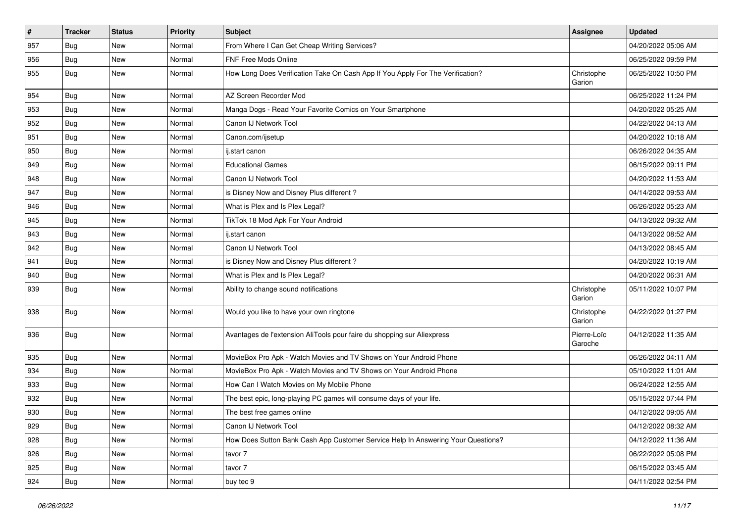| $\pmb{\#}$ | <b>Tracker</b> | <b>Status</b> | <b>Priority</b> | Subject                                                                          | <b>Assignee</b>        | <b>Updated</b>      |
|------------|----------------|---------------|-----------------|----------------------------------------------------------------------------------|------------------------|---------------------|
| 957        | Bug            | New           | Normal          | From Where I Can Get Cheap Writing Services?                                     |                        | 04/20/2022 05:06 AM |
| 956        | Bug            | <b>New</b>    | Normal          | FNF Free Mods Online                                                             |                        | 06/25/2022 09:59 PM |
| 955        | Bug            | New           | Normal          | How Long Does Verification Take On Cash App If You Apply For The Verification?   | Christophe<br>Garion   | 06/25/2022 10:50 PM |
| 954        | Bug            | <b>New</b>    | Normal          | AZ Screen Recorder Mod                                                           |                        | 06/25/2022 11:24 PM |
| 953        | Bug            | New           | Normal          | Manga Dogs - Read Your Favorite Comics on Your Smartphone                        |                        | 04/20/2022 05:25 AM |
| 952        | Bug            | <b>New</b>    | Normal          | Canon IJ Network Tool                                                            |                        | 04/22/2022 04:13 AM |
| 951        | Bug            | New           | Normal          | Canon.com/ijsetup                                                                |                        | 04/20/2022 10:18 AM |
| 950        | Bug            | <b>New</b>    | Normal          | ij.start canon                                                                   |                        | 06/26/2022 04:35 AM |
| 949        | Bug            | <b>New</b>    | Normal          | <b>Educational Games</b>                                                         |                        | 06/15/2022 09:11 PM |
| 948        | Bug            | New           | Normal          | Canon IJ Network Tool                                                            |                        | 04/20/2022 11:53 AM |
| 947        | Bug            | New           | Normal          | is Disney Now and Disney Plus different?                                         |                        | 04/14/2022 09:53 AM |
| 946        | Bug            | New           | Normal          | What is Plex and Is Plex Legal?                                                  |                        | 06/26/2022 05:23 AM |
| 945        | Bug            | New           | Normal          | TikTok 18 Mod Apk For Your Android                                               |                        | 04/13/2022 09:32 AM |
| 943        | Bug            | <b>New</b>    | Normal          | ij.start canon                                                                   |                        | 04/13/2022 08:52 AM |
| 942        | Bug            | New           | Normal          | Canon IJ Network Tool                                                            |                        | 04/13/2022 08:45 AM |
| 941        | Bug            | New           | Normal          | is Disney Now and Disney Plus different?                                         |                        | 04/20/2022 10:19 AM |
| 940        | Bug            | <b>New</b>    | Normal          | What is Plex and Is Plex Legal?                                                  |                        | 04/20/2022 06:31 AM |
| 939        | Bug            | New           | Normal          | Ability to change sound notifications                                            | Christophe<br>Garion   | 05/11/2022 10:07 PM |
| 938        | Bug            | <b>New</b>    | Normal          | Would you like to have your own ringtone                                         | Christophe<br>Garion   | 04/22/2022 01:27 PM |
| 936        | Bug            | <b>New</b>    | Normal          | Avantages de l'extension AliTools pour faire du shopping sur Aliexpress          | Pierre-Loïc<br>Garoche | 04/12/2022 11:35 AM |
| 935        | Bug            | <b>New</b>    | Normal          | MovieBox Pro Apk - Watch Movies and TV Shows on Your Android Phone               |                        | 06/26/2022 04:11 AM |
| 934        | Bug            | <b>New</b>    | Normal          | MovieBox Pro Apk - Watch Movies and TV Shows on Your Android Phone               |                        | 05/10/2022 11:01 AM |
| 933        | Bug            | New           | Normal          | How Can I Watch Movies on My Mobile Phone                                        |                        | 06/24/2022 12:55 AM |
| 932        | Bug            | New           | Normal          | The best epic, long-playing PC games will consume days of your life.             |                        | 05/15/2022 07:44 PM |
| 930        | Bug            | New           | Normal          | The best free games online                                                       |                        | 04/12/2022 09:05 AM |
| 929        | <b>Bug</b>     | New           | Normal          | Canon IJ Network Tool                                                            |                        | 04/12/2022 08:32 AM |
| 928        | Bug            | New           | Normal          | How Does Sutton Bank Cash App Customer Service Help In Answering Your Questions? |                        | 04/12/2022 11:36 AM |
| 926        | Bug            | New           | Normal          | tavor 7                                                                          |                        | 06/22/2022 05:08 PM |
| 925        | Bug            | New           | Normal          | tavor 7                                                                          |                        | 06/15/2022 03:45 AM |
| 924        | <b>Bug</b>     | New           | Normal          | buy tec 9                                                                        |                        | 04/11/2022 02:54 PM |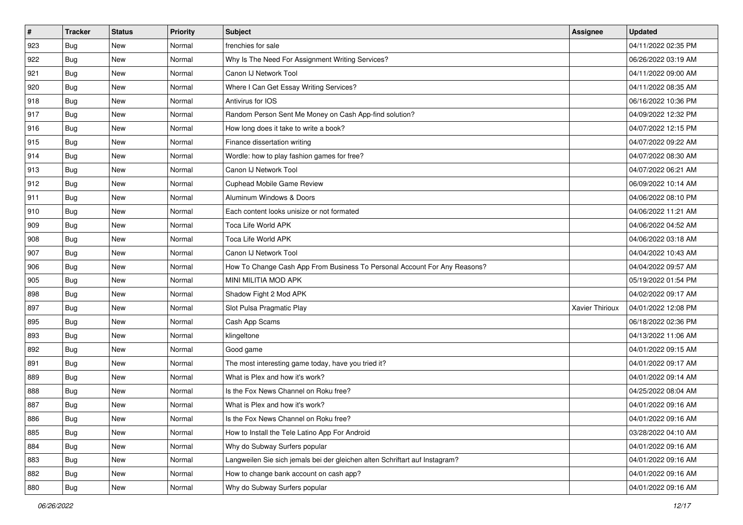| #   | <b>Tracker</b> | <b>Status</b> | <b>Priority</b> | <b>Subject</b>                                                              | Assignee               | <b>Updated</b>      |
|-----|----------------|---------------|-----------------|-----------------------------------------------------------------------------|------------------------|---------------------|
| 923 | <b>Bug</b>     | New           | Normal          | frenchies for sale                                                          |                        | 04/11/2022 02:35 PM |
| 922 | Bug            | <b>New</b>    | Normal          | Why Is The Need For Assignment Writing Services?                            |                        | 06/26/2022 03:19 AM |
| 921 | <b>Bug</b>     | New           | Normal          | Canon IJ Network Tool                                                       |                        | 04/11/2022 09:00 AM |
| 920 | Bug            | <b>New</b>    | Normal          | Where I Can Get Essay Writing Services?                                     |                        | 04/11/2022 08:35 AM |
| 918 | <b>Bug</b>     | <b>New</b>    | Normal          | Antivirus for IOS                                                           |                        | 06/16/2022 10:36 PM |
| 917 | Bug            | <b>New</b>    | Normal          | Random Person Sent Me Money on Cash App-find solution?                      |                        | 04/09/2022 12:32 PM |
| 916 | <b>Bug</b>     | <b>New</b>    | Normal          | How long does it take to write a book?                                      |                        | 04/07/2022 12:15 PM |
| 915 | Bug            | <b>New</b>    | Normal          | Finance dissertation writing                                                |                        | 04/07/2022 09:22 AM |
| 914 | Bug            | <b>New</b>    | Normal          | Wordle: how to play fashion games for free?                                 |                        | 04/07/2022 08:30 AM |
| 913 | Bug            | <b>New</b>    | Normal          | Canon IJ Network Tool                                                       |                        | 04/07/2022 06:21 AM |
| 912 | Bug            | New           | Normal          | Cuphead Mobile Game Review                                                  |                        | 06/09/2022 10:14 AM |
| 911 | Bug            | <b>New</b>    | Normal          | Aluminum Windows & Doors                                                    |                        | 04/06/2022 08:10 PM |
| 910 | Bug            | <b>New</b>    | Normal          | Each content looks unisize or not formated                                  |                        | 04/06/2022 11:21 AM |
| 909 | Bug            | <b>New</b>    | Normal          | Toca Life World APK                                                         |                        | 04/06/2022 04:52 AM |
| 908 | Bug            | <b>New</b>    | Normal          | <b>Toca Life World APK</b>                                                  |                        | 04/06/2022 03:18 AM |
| 907 | <b>Bug</b>     | New           | Normal          | Canon IJ Network Tool                                                       |                        | 04/04/2022 10:43 AM |
| 906 | Bug            | <b>New</b>    | Normal          | How To Change Cash App From Business To Personal Account For Any Reasons?   |                        | 04/04/2022 09:57 AM |
| 905 | <b>Bug</b>     | New           | Normal          | MINI MILITIA MOD APK                                                        |                        | 05/19/2022 01:54 PM |
| 898 | Bug            | <b>New</b>    | Normal          | Shadow Fight 2 Mod APK                                                      |                        | 04/02/2022 09:17 AM |
| 897 | Bug            | <b>New</b>    | Normal          | Slot Pulsa Pragmatic Play                                                   | <b>Xavier Thirioux</b> | 04/01/2022 12:08 PM |
| 895 | Bug            | New           | Normal          | Cash App Scams                                                              |                        | 06/18/2022 02:36 PM |
| 893 | Bug            | <b>New</b>    | Normal          | klingeltone                                                                 |                        | 04/13/2022 11:06 AM |
| 892 | Bug            | <b>New</b>    | Normal          | Good game                                                                   |                        | 04/01/2022 09:15 AM |
| 891 | Bug            | <b>New</b>    | Normal          | The most interesting game today, have you tried it?                         |                        | 04/01/2022 09:17 AM |
| 889 | Bug            | <b>New</b>    | Normal          | What is Plex and how it's work?                                             |                        | 04/01/2022 09:14 AM |
| 888 | <b>Bug</b>     | <b>New</b>    | Normal          | Is the Fox News Channel on Roku free?                                       |                        | 04/25/2022 08:04 AM |
| 887 | <b>Bug</b>     | New           | Normal          | What is Plex and how it's work?                                             |                        | 04/01/2022 09:16 AM |
| 886 | <b>Bug</b>     | New           | Normal          | Is the Fox News Channel on Roku free?                                       |                        | 04/01/2022 09:16 AM |
| 885 | Bug            | New           | Normal          | How to Install the Tele Latino App For Android                              |                        | 03/28/2022 04:10 AM |
| 884 | Bug            | New           | Normal          | Why do Subway Surfers popular                                               |                        | 04/01/2022 09:16 AM |
| 883 | Bug            | New           | Normal          | Langweilen Sie sich jemals bei der gleichen alten Schriftart auf Instagram? |                        | 04/01/2022 09:16 AM |
| 882 | <b>Bug</b>     | New           | Normal          | How to change bank account on cash app?                                     |                        | 04/01/2022 09:16 AM |
| 880 | <b>Bug</b>     | New           | Normal          | Why do Subway Surfers popular                                               |                        | 04/01/2022 09:16 AM |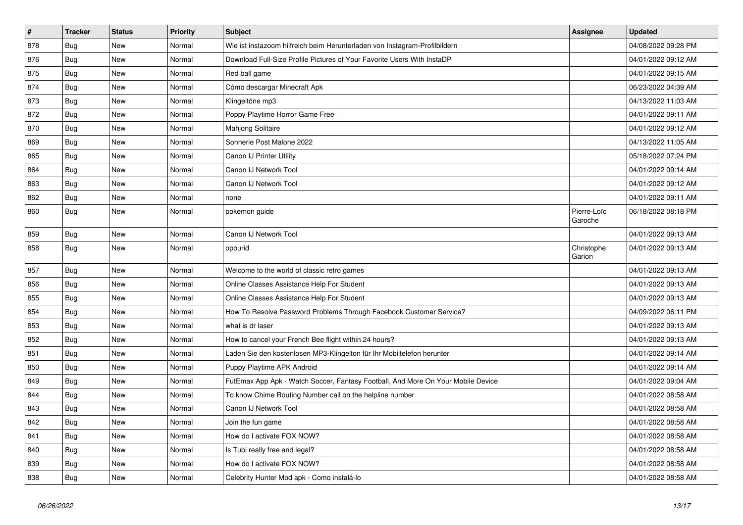| $\vert$ # | <b>Tracker</b> | <b>Status</b> | <b>Priority</b> | <b>Subject</b>                                                                   | Assignee               | <b>Updated</b>      |
|-----------|----------------|---------------|-----------------|----------------------------------------------------------------------------------|------------------------|---------------------|
| 878       | Bug            | <b>New</b>    | Normal          | Wie ist instazoom hilfreich beim Herunterladen von Instagram-Profilbildern       |                        | 04/08/2022 09:28 PM |
| 876       | Bug            | <b>New</b>    | Normal          | Download Full-Size Profile Pictures of Your Favorite Users With InstaDP          |                        | 04/01/2022 09:12 AM |
| 875       | Bug            | <b>New</b>    | Normal          | Red ball game                                                                    |                        | 04/01/2022 09:15 AM |
| 874       | <b>Bug</b>     | <b>New</b>    | Normal          | Cómo descargar Minecraft Apk                                                     |                        | 06/23/2022 04:39 AM |
| 873       | <b>Bug</b>     | <b>New</b>    | Normal          | Klingeltöne mp3                                                                  |                        | 04/13/2022 11:03 AM |
| 872       | <b>Bug</b>     | <b>New</b>    | Normal          | Poppy Playtime Horror Game Free                                                  |                        | 04/01/2022 09:11 AM |
| 870       | Bug            | <b>New</b>    | Normal          | Mahjong Solitaire                                                                |                        | 04/01/2022 09:12 AM |
| 869       | <b>Bug</b>     | <b>New</b>    | Normal          | Sonnerie Post Malone 2022                                                        |                        | 04/13/2022 11:05 AM |
| 865       | Bug            | <b>New</b>    | Normal          | Canon IJ Printer Utility                                                         |                        | 05/18/2022 07:24 PM |
| 864       | <b>Bug</b>     | <b>New</b>    | Normal          | Canon IJ Network Tool                                                            |                        | 04/01/2022 09:14 AM |
| 863       | Bug            | <b>New</b>    | Normal          | Canon IJ Network Tool                                                            |                        | 04/01/2022 09:12 AM |
| 862       | <b>Bug</b>     | <b>New</b>    | Normal          | none                                                                             |                        | 04/01/2022 09:11 AM |
| 860       | Bug            | <b>New</b>    | Normal          | pokemon guide                                                                    | Pierre-Loïc<br>Garoche | 06/18/2022 08:18 PM |
| 859       | Bug            | New           | Normal          | Canon IJ Network Tool                                                            |                        | 04/01/2022 09:13 AM |
| 858       | <b>Bug</b>     | New           | Normal          | opourid                                                                          | Christophe<br>Garion   | 04/01/2022 09:13 AM |
| 857       | Bug            | <b>New</b>    | Normal          | Welcome to the world of classic retro games                                      |                        | 04/01/2022 09:13 AM |
| 856       | Bug            | <b>New</b>    | Normal          | Online Classes Assistance Help For Student                                       |                        | 04/01/2022 09:13 AM |
| 855       | Bug            | <b>New</b>    | Normal          | Online Classes Assistance Help For Student                                       |                        | 04/01/2022 09:13 AM |
| 854       | Bug            | <b>New</b>    | Normal          | How To Resolve Password Problems Through Facebook Customer Service?              |                        | 04/09/2022 06:11 PM |
| 853       | Bug            | <b>New</b>    | Normal          | what is dr laser                                                                 |                        | 04/01/2022 09:13 AM |
| 852       | <b>Bug</b>     | <b>New</b>    | Normal          | How to cancel your French Bee flight within 24 hours?                            |                        | 04/01/2022 09:13 AM |
| 851       | Bug            | <b>New</b>    | Normal          | Laden Sie den kostenlosen MP3-Klingelton für Ihr Mobiltelefon herunter           |                        | 04/01/2022 09:14 AM |
| 850       | <b>Bug</b>     | New           | Normal          | Puppy Playtime APK Android                                                       |                        | 04/01/2022 09:14 AM |
| 849       | Bug            | New           | Normal          | FutEmax App Apk - Watch Soccer, Fantasy Football, And More On Your Mobile Device |                        | 04/01/2022 09:04 AM |
| 844       | <b>Bug</b>     | <b>New</b>    | Normal          | To know Chime Routing Number call on the helpline number                         |                        | 04/01/2022 08:58 AM |
| 843       | Bug            | <b>New</b>    | Normal          | Canon IJ Network Tool                                                            |                        | 04/01/2022 08:58 AM |
| 842       | <b>Bug</b>     | <b>New</b>    | Normal          | Join the fun game                                                                |                        | 04/01/2022 08:58 AM |
| 841       | Bug            | <b>New</b>    | Normal          | How do I activate FOX NOW?                                                       |                        | 04/01/2022 08:58 AM |
| 840       | <b>Bug</b>     | <b>New</b>    | Normal          | Is Tubi really free and legal?                                                   |                        | 04/01/2022 08:58 AM |
| 839       | <b>Bug</b>     | <b>New</b>    | Normal          | How do I activate FOX NOW?                                                       |                        | 04/01/2022 08:58 AM |
| 838       | <b>Bug</b>     | New           | Normal          | Celebrity Hunter Mod apk - Como instalá-lo                                       |                        | 04/01/2022 08:58 AM |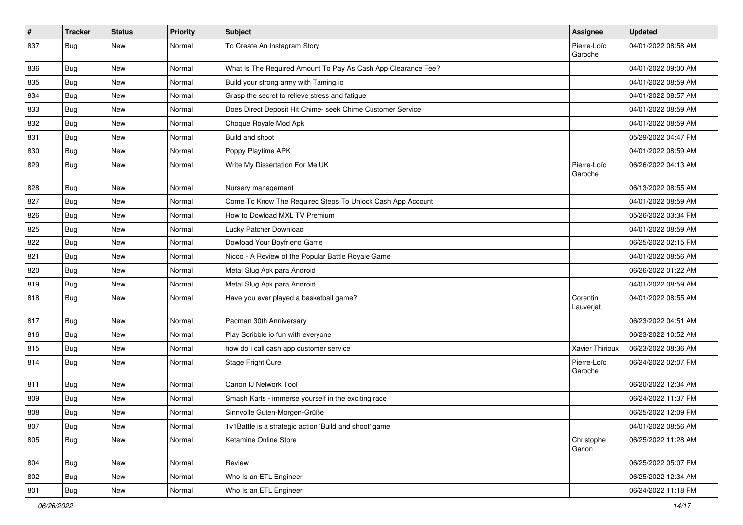| $\vert$ # | <b>Tracker</b> | <b>Status</b> | <b>Priority</b> | <b>Subject</b>                                                | Assignee               | <b>Updated</b>      |
|-----------|----------------|---------------|-----------------|---------------------------------------------------------------|------------------------|---------------------|
| 837       | Bug            | <b>New</b>    | Normal          | To Create An Instagram Story                                  | Pierre-Loïc<br>Garoche | 04/01/2022 08:58 AM |
| 836       | Bug            | New           | Normal          | What Is The Required Amount To Pay As Cash App Clearance Fee? |                        | 04/01/2022 09:00 AM |
| 835       | Bug            | <b>New</b>    | Normal          | Build your strong army with Taming io                         |                        | 04/01/2022 08:59 AM |
| 834       | Bug            | <b>New</b>    | Normal          | Grasp the secret to relieve stress and fatigue                |                        | 04/01/2022 08:57 AM |
| 833       | <b>Bug</b>     | <b>New</b>    | Normal          | Does Direct Deposit Hit Chime- seek Chime Customer Service    |                        | 04/01/2022 08:59 AM |
| 832       | Bug            | <b>New</b>    | Normal          | Choque Royale Mod Apk                                         |                        | 04/01/2022 08:59 AM |
| 831       | Bug            | <b>New</b>    | Normal          | Build and shoot                                               |                        | 05/29/2022 04:47 PM |
| 830       | Bug            | <b>New</b>    | Normal          | Poppy Playtime APK                                            |                        | 04/01/2022 08:59 AM |
| 829       | Bug            | <b>New</b>    | Normal          | Write My Dissertation For Me UK                               | Pierre-Loïc<br>Garoche | 06/26/2022 04:13 AM |
| 828       | Bug            | <b>New</b>    | Normal          | Nursery management                                            |                        | 06/13/2022 08:55 AM |
| 827       | Bug            | <b>New</b>    | Normal          | Come To Know The Required Steps To Unlock Cash App Account    |                        | 04/01/2022 08:59 AM |
| 826       | Bug            | <b>New</b>    | Normal          | How to Dowload MXL TV Premium                                 |                        | 05/26/2022 03:34 PM |
| 825       | Bug            | <b>New</b>    | Normal          | Lucky Patcher Download                                        |                        | 04/01/2022 08:59 AM |
| 822       | Bug            | <b>New</b>    | Normal          | Dowload Your Boyfriend Game                                   |                        | 06/25/2022 02:15 PM |
| 821       | Bug            | New           | Normal          | Nicoo - A Review of the Popular Battle Royale Game            |                        | 04/01/2022 08:56 AM |
| 820       | Bug            | <b>New</b>    | Normal          | Metal Slug Apk para Android                                   |                        | 06/26/2022 01:22 AM |
| 819       | Bug            | <b>New</b>    | Normal          | Metal Slug Apk para Android                                   |                        | 04/01/2022 08:59 AM |
| 818       | Bug            | <b>New</b>    | Normal          | Have you ever played a basketball game?                       | Corentin<br>Lauverjat  | 04/01/2022 08:55 AM |
| 817       | Bug            | <b>New</b>    | Normal          | Pacman 30th Anniversary                                       |                        | 06/23/2022 04:51 AM |
| 816       | Bug            | <b>New</b>    | Normal          | Play Scribble io fun with everyone                            |                        | 06/23/2022 10:52 AM |
| 815       | Bug            | New           | Normal          | how do i call cash app customer service                       | Xavier Thirioux        | 06/23/2022 08:36 AM |
| 814       | Bug            | <b>New</b>    | Normal          | Stage Fright Cure                                             | Pierre-Loïc<br>Garoche | 06/24/2022 02:07 PM |
| 811       | Bug            | <b>New</b>    | Normal          | Canon IJ Network Tool                                         |                        | 06/20/2022 12:34 AM |
| 809       | Bug            | <b>New</b>    | Normal          | Smash Karts - immerse yourself in the exciting race           |                        | 06/24/2022 11:37 PM |
| 808       | Bug            | <b>New</b>    | Normal          | Sinnvolle Guten-Morgen-Grüße                                  |                        | 06/25/2022 12:09 PM |
| 807       | <b>Bug</b>     | New           | Normal          | 1v1Battle is a strategic action 'Build and shoot' game        |                        | 04/01/2022 08:56 AM |
| 805       | <b>Bug</b>     | New           | Normal          | Ketamine Online Store                                         | Christophe<br>Garion   | 06/25/2022 11:28 AM |
| 804       | Bug            | New           | Normal          | Review                                                        |                        | 06/25/2022 05:07 PM |
| 802       | <b>Bug</b>     | New           | Normal          | Who Is an ETL Engineer                                        |                        | 06/25/2022 12:34 AM |
| 801       | Bug            | New           | Normal          | Who Is an ETL Engineer                                        |                        | 06/24/2022 11:18 PM |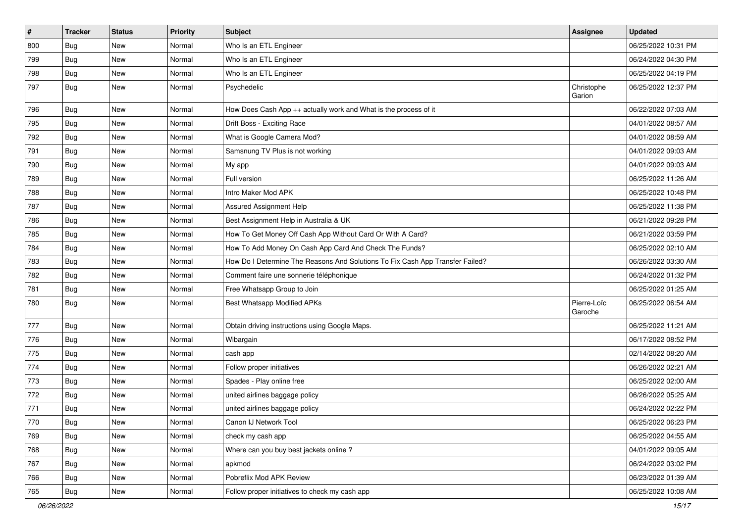| $\vert$ # | <b>Tracker</b> | <b>Status</b> | Priority | <b>Subject</b>                                                                | Assignee               | <b>Updated</b>      |
|-----------|----------------|---------------|----------|-------------------------------------------------------------------------------|------------------------|---------------------|
| 800       | <b>Bug</b>     | New           | Normal   | Who Is an ETL Engineer                                                        |                        | 06/25/2022 10:31 PM |
| 799       | Bug            | New           | Normal   | Who Is an ETL Engineer                                                        |                        | 06/24/2022 04:30 PM |
| 798       | Bug            | New           | Normal   | Who Is an ETL Engineer                                                        |                        | 06/25/2022 04:19 PM |
| 797       | Bug            | New           | Normal   | Psychedelic                                                                   | Christophe<br>Garion   | 06/25/2022 12:37 PM |
| 796       | Bug            | New           | Normal   | How Does Cash App ++ actually work and What is the process of it              |                        | 06/22/2022 07:03 AM |
| 795       | <b>Bug</b>     | New           | Normal   | Drift Boss - Exciting Race                                                    |                        | 04/01/2022 08:57 AM |
| 792       | Bug            | <b>New</b>    | Normal   | What is Google Camera Mod?                                                    |                        | 04/01/2022 08:59 AM |
| 791       | Bug            | New           | Normal   | Samsnung TV Plus is not working                                               |                        | 04/01/2022 09:03 AM |
| 790       | Bug            | <b>New</b>    | Normal   | My app                                                                        |                        | 04/01/2022 09:03 AM |
| 789       | Bug            | New           | Normal   | Full version                                                                  |                        | 06/25/2022 11:26 AM |
| 788       | <b>Bug</b>     | <b>New</b>    | Normal   | Intro Maker Mod APK                                                           |                        | 06/25/2022 10:48 PM |
| 787       | Bug            | New           | Normal   | Assured Assignment Help                                                       |                        | 06/25/2022 11:38 PM |
| 786       | Bug            | New           | Normal   | Best Assignment Help in Australia & UK                                        |                        | 06/21/2022 09:28 PM |
| 785       | Bug            | <b>New</b>    | Normal   | How To Get Money Off Cash App Without Card Or With A Card?                    |                        | 06/21/2022 03:59 PM |
| 784       | Bug            | New           | Normal   | How To Add Money On Cash App Card And Check The Funds?                        |                        | 06/25/2022 02:10 AM |
| 783       | <b>Bug</b>     | <b>New</b>    | Normal   | How Do I Determine The Reasons And Solutions To Fix Cash App Transfer Failed? |                        | 06/26/2022 03:30 AM |
| 782       | Bug            | New           | Normal   | Comment faire une sonnerie téléphonique                                       |                        | 06/24/2022 01:32 PM |
| 781       | Bug            | New           | Normal   | Free Whatsapp Group to Join                                                   |                        | 06/25/2022 01:25 AM |
| 780       | Bug            | New           | Normal   | <b>Best Whatsapp Modified APKs</b>                                            | Pierre-Loïc<br>Garoche | 06/25/2022 06:54 AM |
| 777       | Bug            | New           | Normal   | Obtain driving instructions using Google Maps.                                |                        | 06/25/2022 11:21 AM |
| 776       | <b>Bug</b>     | <b>New</b>    | Normal   | Wibargain                                                                     |                        | 06/17/2022 08:52 PM |
| 775       | <b>Bug</b>     | New           | Normal   | cash app                                                                      |                        | 02/14/2022 08:20 AM |
| 774       | Bug            | <b>New</b>    | Normal   | Follow proper initiatives                                                     |                        | 06/26/2022 02:21 AM |
| 773       | Bug            | New           | Normal   | Spades - Play online free                                                     |                        | 06/25/2022 02:00 AM |
| 772       | <b>Bug</b>     | New           | Normal   | united airlines baggage policy                                                |                        | 06/26/2022 05:25 AM |
| 771       | Bug            | New           | Normal   | united airlines baggage policy                                                |                        | 06/24/2022 02:22 PM |
| 770       | Bug            | New           | Normal   | Canon IJ Network Tool                                                         |                        | 06/25/2022 06:23 PM |
| 769       | Bug            | New           | Normal   | check my cash app                                                             |                        | 06/25/2022 04:55 AM |
| 768       | Bug            | New           | Normal   | Where can you buy best jackets online?                                        |                        | 04/01/2022 09:05 AM |
| 767       | <b>Bug</b>     | New           | Normal   | apkmod                                                                        |                        | 06/24/2022 03:02 PM |
| 766       | Bug            | New           | Normal   | Pobreflix Mod APK Review                                                      |                        | 06/23/2022 01:39 AM |
| 765       | <b>Bug</b>     | New           | Normal   | Follow proper initiatives to check my cash app                                |                        | 06/25/2022 10:08 AM |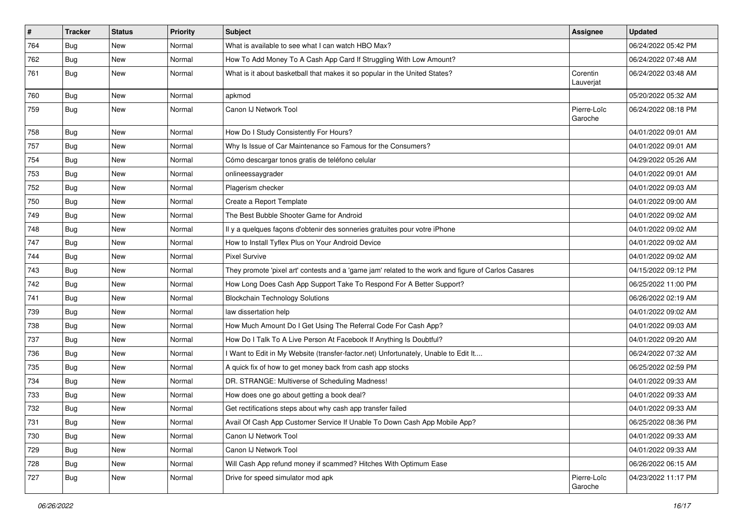| $\vert$ # | <b>Tracker</b> | <b>Status</b> | Priority | <b>Subject</b>                                                                                      | Assignee               | <b>Updated</b>      |
|-----------|----------------|---------------|----------|-----------------------------------------------------------------------------------------------------|------------------------|---------------------|
| 764       | <b>Bug</b>     | New           | Normal   | What is available to see what I can watch HBO Max?                                                  |                        | 06/24/2022 05:42 PM |
| 762       | Bug            | New           | Normal   | How To Add Money To A Cash App Card If Struggling With Low Amount?                                  |                        | 06/24/2022 07:48 AM |
| 761       | Bug            | New           | Normal   | What is it about basketball that makes it so popular in the United States?                          | Corentin<br>Lauverjat  | 06/24/2022 03:48 AM |
| 760       | Bug            | New           | Normal   | apkmod                                                                                              |                        | 05/20/2022 05:32 AM |
| 759       | Bug            | New           | Normal   | Canon IJ Network Tool                                                                               | Pierre-Loïc<br>Garoche | 06/24/2022 08:18 PM |
| 758       | Bug            | New           | Normal   | How Do I Study Consistently For Hours?                                                              |                        | 04/01/2022 09:01 AM |
| 757       | Bug            | New           | Normal   | Why Is Issue of Car Maintenance so Famous for the Consumers?                                        |                        | 04/01/2022 09:01 AM |
| 754       | Bug            | New           | Normal   | Cómo descargar tonos gratis de teléfono celular                                                     |                        | 04/29/2022 05:26 AM |
| 753       | Bug            | New           | Normal   | onlineessaygrader                                                                                   |                        | 04/01/2022 09:01 AM |
| 752       | Bug            | <b>New</b>    | Normal   | Plagerism checker                                                                                   |                        | 04/01/2022 09:03 AM |
| 750       | Bug            | New           | Normal   | Create a Report Template                                                                            |                        | 04/01/2022 09:00 AM |
| 749       | <b>Bug</b>     | New           | Normal   | The Best Bubble Shooter Game for Android                                                            |                        | 04/01/2022 09:02 AM |
| 748       | Bug            | New           | Normal   | Il y a quelques façons d'obtenir des sonneries gratuites pour votre iPhone                          |                        | 04/01/2022 09:02 AM |
| 747       | Bug            | New           | Normal   | How to Install Tyflex Plus on Your Android Device                                                   |                        | 04/01/2022 09:02 AM |
| 744       | Bug            | New           | Normal   | <b>Pixel Survive</b>                                                                                |                        | 04/01/2022 09:02 AM |
| 743       | Bug            | New           | Normal   | They promote 'pixel art' contests and a 'game jam' related to the work and figure of Carlos Casares |                        | 04/15/2022 09:12 PM |
| 742       | <b>Bug</b>     | New           | Normal   | How Long Does Cash App Support Take To Respond For A Better Support?                                |                        | 06/25/2022 11:00 PM |
| 741       | Bug            | New           | Normal   | <b>Blockchain Technology Solutions</b>                                                              |                        | 06/26/2022 02:19 AM |
| 739       | Bug            | New           | Normal   | law dissertation help                                                                               |                        | 04/01/2022 09:02 AM |
| 738       | Bug            | New           | Normal   | How Much Amount Do I Get Using The Referral Code For Cash App?                                      |                        | 04/01/2022 09:03 AM |
| 737       | Bug            | <b>New</b>    | Normal   | How Do I Talk To A Live Person At Facebook If Anything Is Doubtful?                                 |                        | 04/01/2022 09:20 AM |
| 736       | Bug            | New           | Normal   | I Want to Edit in My Website (transfer-factor.net) Unfortunately, Unable to Edit It                 |                        | 06/24/2022 07:32 AM |
| 735       | <b>Bug</b>     | <b>New</b>    | Normal   | A quick fix of how to get money back from cash app stocks                                           |                        | 06/25/2022 02:59 PM |
| 734       | Bug            | New           | Normal   | DR. STRANGE: Multiverse of Scheduling Madness!                                                      |                        | 04/01/2022 09:33 AM |
| 733       | <b>Bug</b>     | New           | Normal   | How does one go about getting a book deal?                                                          |                        | 04/01/2022 09:33 AM |
| 732       | <b>Bug</b>     | New           | Normal   | Get rectifications steps about why cash app transfer failed                                         |                        | 04/01/2022 09:33 AM |
| 731       | <b>Bug</b>     | New           | Normal   | Avail Of Cash App Customer Service If Unable To Down Cash App Mobile App?                           |                        | 06/25/2022 08:36 PM |
| 730       | Bug            | New           | Normal   | Canon IJ Network Tool                                                                               |                        | 04/01/2022 09:33 AM |
| 729       | Bug            | New           | Normal   | Canon IJ Network Tool                                                                               |                        | 04/01/2022 09:33 AM |
| 728       | Bug            | New           | Normal   | Will Cash App refund money if scammed? Hitches With Optimum Ease                                    |                        | 06/26/2022 06:15 AM |
| 727       | Bug            | New           | Normal   | Drive for speed simulator mod apk                                                                   | Pierre-Loïc<br>Garoche | 04/23/2022 11:17 PM |